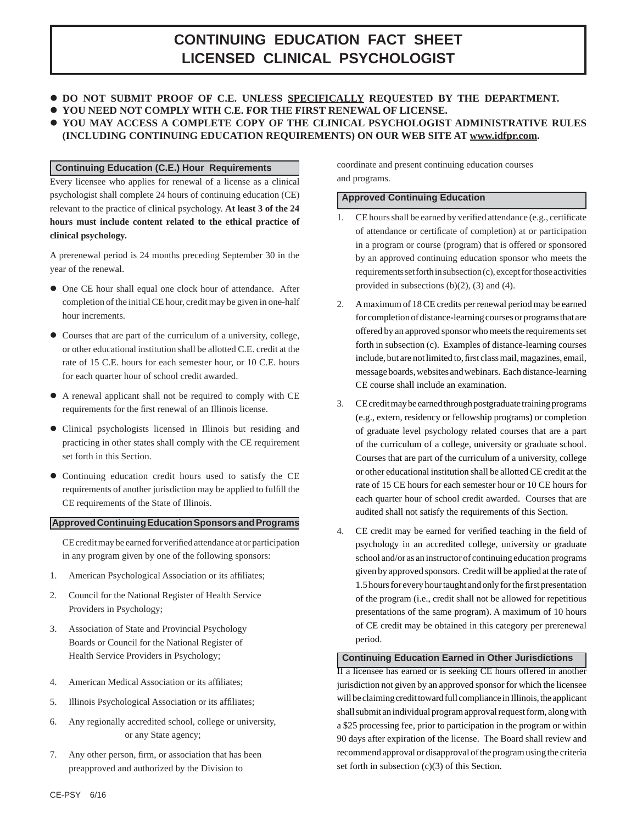# **CONTINUING EDUCATION FACT SHEET LICENSED CLINICAL PSYCHOLOGIST**

- $\bullet$  **DO NOT SUBMIT PROOF OF C.E. UNLESS SPECIFICALLY REQUESTED BY THE DEPARTMENT.**
- **YOU NEED NOT COMPLY WITH C.E. FOR THE FIRST RENEWAL OF LICENSE.**
- **YOU MAY ACCESS A COMPLETE COPY OF THE CLINICAL PSYCHOLOGIST ADMINISTRATIVE RULES**
- **(INCLUDING CONTINUING EDUCATION REQUIREMENTS) ON OUR WEB SITE AT www.idfpr.com.**

#### **Continuing Education (C.E.) Hour Requirements**

Every licensee who applies for renewal of a license as a clinical psychologist shall complete 24 hours of continuing education (CE) relevant to the practice of clinical psychology. **At least 3 of the 24 hours must include content related to the ethical practice of clinical psychology.**

A prerenewal period is 24 months preceding September 30 in the year of the renewal.

- One CE hour shall equal one clock hour of attendance. After completion of the initial CE hour, credit may be given in one-half hour increments.
- Courses that are part of the curriculum of a university, college, or other educational institution shall be allotted C.E. credit at the rate of 15 C.E. hours for each semester hour, or 10 C.E. hours for each quarter hour of school credit awarded.
- A renewal applicant shall not be required to comply with CE requirements for the first renewal of an Illinois license.
- Clinical psychologists licensed in Illinois but residing and practicing in other states shall comply with the CE requirement set forth in this Section.
- Continuing education credit hours used to satisfy the CE requirements of another jurisdiction may be applied to fulfill the CE requirements of the State of Illinois.

#### **Approved Continuing Education Sponsors and Programs**

CE credit may be earned for verified attendance at or participation in any program given by one of the following sponsors:

- 1. American Psychological Association or its affiliates;
- 2. Council for the National Register of Health Service Providers in Psychology;
- 3. Association of State and Provincial Psychology Boards or Council for the National Register of Health Service Providers in Psychology;
- 4. American Medical Association or its affiliates;
- 5. Illinois Psychological Association or its affiliates;
- 6. Any regionally accredited school, college or university, or any State agency;
- 7. Any other person, firm, or association that has been preapproved and authorized by the Division to

coordinate and present continuing education courses and programs.

#### **Approved Continuing Education**

- 1. CE hours shall be earned by verified attendance (e.g., certificate of attendance or certificate of completion) at or participation in a program or course (program) that is offered or sponsored by an approved continuing education sponsor who meets the requirements set forth in subsection (c), except for those activities provided in subsections (b)(2), (3) and (4).
- 2. A maximum of 18 CE credits per renewal period may be earned for completion of distance-learning courses or programs that are offered by an approved sponsor who meets the requirements set forth in subsection (c). Examples of distance-learning courses include, but are not limited to, first class mail, magazines, email, message boards, websites and webinars. Each distance-learning CE course shall include an examination.
- 3. CE credit may be earned through postgraduate training programs (e.g., extern, residency or fellowship programs) or completion of graduate level psychology related courses that are a part of the curriculum of a college, university or graduate school. Courses that are part of the curriculum of a university, college or other educational institution shall be allotted CE credit at the rate of 15 CE hours for each semester hour or 10 CE hours for each quarter hour of school credit awarded. Courses that are audited shall not satisfy the requirements of this Section.
- 4. CE credit may be earned for verified teaching in the field of psychology in an accredited college, university or graduate school and/or as an instructor of continuing education programs given by approved sponsors. Credit will be applied at the rate of 1.5 hours for every hour taught and only for the first presentation of the program (i.e., credit shall not be allowed for repetitious presentations of the same program). A maximum of 10 hours of CE credit may be obtained in this category per prerenewal period.

## **Continuing Education Earned in Other Jurisdictions**

If a licensee has earned or is seeking CE hours offered in another jurisdiction not given by an approved sponsor for which the licensee will be claiming credit toward full compliance in Illinois, the applicant shall submit an individual program approval request form, along with a \$25 processing fee, prior to participation in the program or within 90 days after expiration of the license. The Board shall review and recommend approval or disapproval of the program using the criteria set forth in subsection (c)(3) of this Section.